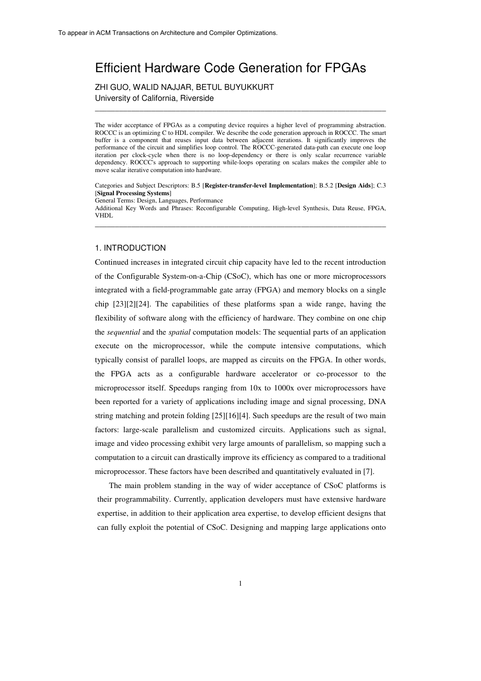# Efficient Hardware Code Generation for FPGAs

ZHI GUO, WALID NAJJAR, BETUL BUYUKKURT University of California, Riverside

The wider acceptance of FPGAs as a computing device requires a higher level of programming abstraction. ROCCC is an optimizing C to HDL compiler. We describe the code generation approach in ROCCC. The smart buffer is a component that reuses input data between adjacent iterations. It significantly improves the performance of the circuit and simplifies loop control. The ROCCC-generated data-path can execute one loop iteration per clock-cycle when there is no loop-dependency or there is only scalar recurrence variable dependency. ROCCC's approach to supporting while-loops operating on scalars makes the compiler able to move scalar iterative computation into hardware.

\_\_\_\_\_\_\_\_\_\_\_\_\_\_\_\_\_\_\_\_\_\_\_\_\_\_\_\_\_\_\_\_\_\_\_\_\_\_\_\_\_\_\_\_\_\_\_\_\_\_\_\_\_\_\_\_\_\_\_\_\_\_\_\_\_\_\_\_\_\_\_\_

Categories and Subject Descriptors: B.5 [**Register-transfer-level Implementation**]; B.5.2 [**Design Aids**]; C.3 [**Signal Processing Systems**]

General Terms: Design, Languages, Performance

Additional Key Words and Phrases: Reconfigurable Computing, High-level Synthesis, Data Reuse, FPGA, VHDL \_\_\_\_\_\_\_\_\_\_\_\_\_\_\_\_\_\_\_\_\_\_\_\_\_\_\_\_\_\_\_\_\_\_\_\_\_\_\_\_\_\_\_\_\_\_\_\_\_\_\_\_\_\_\_\_\_\_\_\_\_\_\_\_\_\_\_\_\_\_\_\_

# 1. INTRODUCTION

Continued increases in integrated circuit chip capacity have led to the recent introduction of the Configurable System-on-a-Chip (CSoC), which has one or more microprocessors integrated with a field-programmable gate array (FPGA) and memory blocks on a single chip [23][2][24]. The capabilities of these platforms span a wide range, having the flexibility of software along with the efficiency of hardware. They combine on one chip the *sequential* and the *spatial* computation models: The sequential parts of an application execute on the microprocessor, while the compute intensive computations, which typically consist of parallel loops, are mapped as circuits on the FPGA. In other words, the FPGA acts as a configurable hardware accelerator or co-processor to the microprocessor itself. Speedups ranging from 10x to 1000x over microprocessors have been reported for a variety of applications including image and signal processing, DNA string matching and protein folding [25][16][4]. Such speedups are the result of two main factors: large-scale parallelism and customized circuits. Applications such as signal, image and video processing exhibit very large amounts of parallelism, so mapping such a computation to a circuit can drastically improve its efficiency as compared to a traditional microprocessor. These factors have been described and quantitatively evaluated in [7].

The main problem standing in the way of wider acceptance of CSoC platforms is their programmability. Currently, application developers must have extensive hardware expertise, in addition to their application area expertise, to develop efficient designs that can fully exploit the potential of CSoC. Designing and mapping large applications onto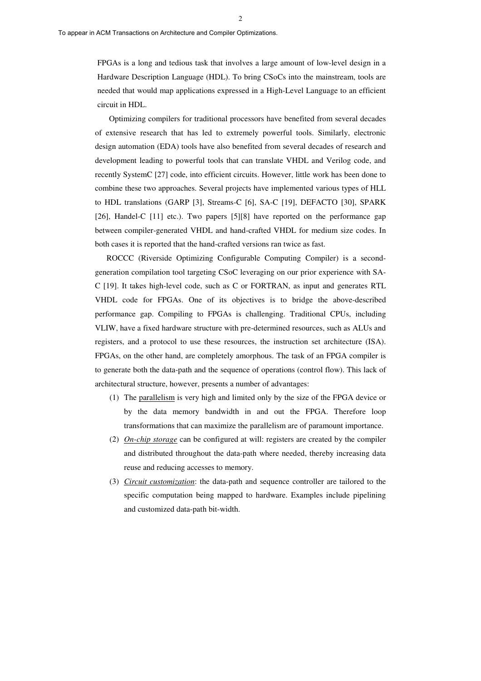FPGAs is a long and tedious task that involves a large amount of low-level design in a Hardware Description Language (HDL). To bring CSoCs into the mainstream, tools are needed that would map applications expressed in a High-Level Language to an efficient circuit in HDL.

Optimizing compilers for traditional processors have benefited from several decades of extensive research that has led to extremely powerful tools. Similarly, electronic design automation (EDA) tools have also benefited from several decades of research and development leading to powerful tools that can translate VHDL and Verilog code, and recently SystemC [27] code, into efficient circuits. However, little work has been done to combine these two approaches. Several projects have implemented various types of HLL to HDL translations (GARP [3], Streams-C [6], SA-C [19], DEFACTO [30], SPARK [26], Handel-C [11] etc.). Two papers [5][8] have reported on the performance gap between compiler-generated VHDL and hand-crafted VHDL for medium size codes. In both cases it is reported that the hand-crafted versions ran twice as fast.

ROCCC (Riverside Optimizing Configurable Computing Compiler) is a secondgeneration compilation tool targeting CSoC leveraging on our prior experience with SA-C [19]. It takes high-level code, such as C or FORTRAN, as input and generates RTL VHDL code for FPGAs. One of its objectives is to bridge the above-described performance gap. Compiling to FPGAs is challenging. Traditional CPUs, including VLIW, have a fixed hardware structure with pre-determined resources, such as ALUs and registers, and a protocol to use these resources, the instruction set architecture (ISA). FPGAs, on the other hand, are completely amorphous. The task of an FPGA compiler is to generate both the data-path and the sequence of operations (control flow). This lack of architectural structure, however, presents a number of advantages:

- (1) The parallelism is very high and limited only by the size of the FPGA device or by the data memory bandwidth in and out the FPGA. Therefore loop transformations that can maximize the parallelism are of paramount importance.
- (2) *On-chip storage* can be configured at will: registers are created by the compiler and distributed throughout the data-path where needed, thereby increasing data reuse and reducing accesses to memory.
- (3) *Circuit customization*: the data-path and sequence controller are tailored to the specific computation being mapped to hardware. Examples include pipelining and customized data-path bit-width.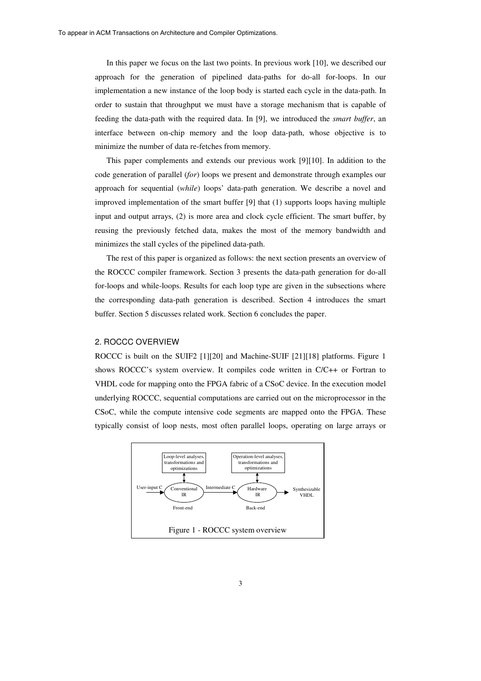In this paper we focus on the last two points. In previous work [10], we described our approach for the generation of pipelined data-paths for do-all for-loops. In our implementation a new instance of the loop body is started each cycle in the data-path. In order to sustain that throughput we must have a storage mechanism that is capable of feeding the data-path with the required data. In [9], we introduced the *smart buffer*, an interface between on-chip memory and the loop data-path, whose objective is to minimize the number of data re-fetches from memory.

This paper complements and extends our previous work [9][10]. In addition to the code generation of parallel (*for*) loops we present and demonstrate through examples our approach for sequential (*while*) loops' data-path generation. We describe a novel and improved implementation of the smart buffer [9] that (1) supports loops having multiple input and output arrays, (2) is more area and clock cycle efficient. The smart buffer, by reusing the previously fetched data, makes the most of the memory bandwidth and minimizes the stall cycles of the pipelined data-path.

The rest of this paper is organized as follows: the next section presents an overview of the ROCCC compiler framework. Section 3 presents the data-path generation for do-all for-loops and while-loops. Results for each loop type are given in the subsections where the corresponding data-path generation is described. Section 4 introduces the smart buffer. Section 5 discusses related work. Section 6 concludes the paper.

# 2. ROCCC OVERVIEW

ROCCC is built on the SUIF2 [1][20] and Machine-SUIF [21][18] platforms. Figure 1 shows ROCCC's system overview. It compiles code written in C/C++ or Fortran to VHDL code for mapping onto the FPGA fabric of a CSoC device. In the execution model underlying ROCCC, sequential computations are carried out on the microprocessor in the CSoC, while the compute intensive code segments are mapped onto the FPGA. These typically consist of loop nests, most often parallel loops, operating on large arrays or

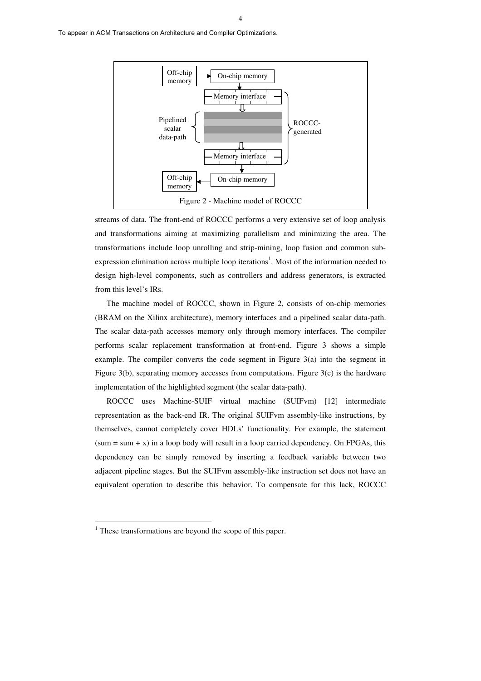To appear in ACM Transactions on Architecture and Compiler Optimizations.



streams of data. The front-end of ROCCC performs a very extensive set of loop analysis and transformations aiming at maximizing parallelism and minimizing the area. The transformations include loop unrolling and strip-mining, loop fusion and common subexpression elimination across multiple loop iterations<sup>1</sup>. Most of the information needed to design high-level components, such as controllers and address generators, is extracted from this level's IRs.

The machine model of ROCCC, shown in Figure 2, consists of on-chip memories (BRAM on the Xilinx architecture), memory interfaces and a pipelined scalar data-path. The scalar data-path accesses memory only through memory interfaces. The compiler performs scalar replacement transformation at front-end. Figure 3 shows a simple example. The compiler converts the code segment in Figure 3(a) into the segment in Figure 3(b), separating memory accesses from computations. Figure 3(c) is the hardware implementation of the highlighted segment (the scalar data-path).

ROCCC uses Machine-SUIF virtual machine (SUIFvm) [12] intermediate representation as the back-end IR. The original SUIFvm assembly-like instructions, by themselves, cannot completely cover HDLs' functionality. For example, the statement  $(sum = sum + x)$  in a loop body will result in a loop carried dependency. On FPGAs, this dependency can be simply removed by inserting a feedback variable between two adjacent pipeline stages. But the SUIFvm assembly-like instruction set does not have an equivalent operation to describe this behavior. To compensate for this lack, ROCCC

<sup>&</sup>lt;sup>1</sup> These transformations are beyond the scope of this paper.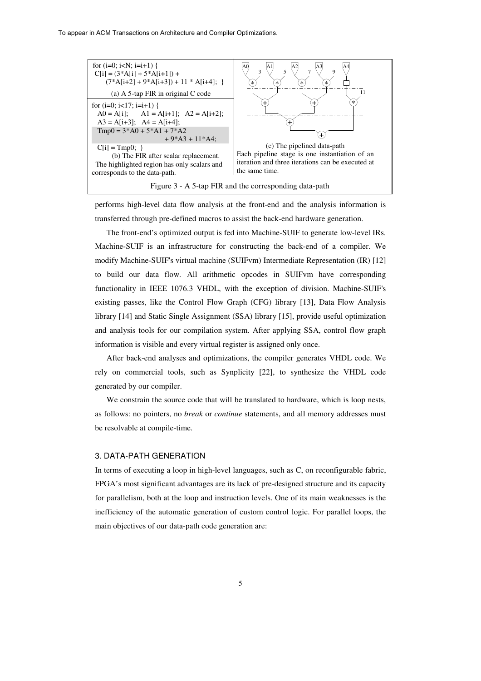

performs high-level data flow analysis at the front-end and the analysis information is transferred through pre-defined macros to assist the back-end hardware generation.

The front-end's optimized output is fed into Machine-SUIF to generate low-level IRs. Machine-SUIF is an infrastructure for constructing the back-end of a compiler. We modify Machine-SUIF's virtual machine (SUIFvm) Intermediate Representation (IR) [12] to build our data flow. All arithmetic opcodes in SUIFvm have corresponding functionality in IEEE 1076.3 VHDL, with the exception of division. Machine-SUIF's existing passes, like the Control Flow Graph (CFG) library [13], Data Flow Analysis library [14] and Static Single Assignment (SSA) library [15], provide useful optimization and analysis tools for our compilation system. After applying SSA, control flow graph information is visible and every virtual register is assigned only once.

After back-end analyses and optimizations, the compiler generates VHDL code. We rely on commercial tools, such as Synplicity [22], to synthesize the VHDL code generated by our compiler.

We constrain the source code that will be translated to hardware, which is loop nests, as follows: no pointers, no *break* or *continue* statements, and all memory addresses must be resolvable at compile-time.

## 3. DATA-PATH GENERATION

In terms of executing a loop in high-level languages, such as C, on reconfigurable fabric, FPGA's most significant advantages are its lack of pre-designed structure and its capacity for parallelism, both at the loop and instruction levels. One of its main weaknesses is the inefficiency of the automatic generation of custom control logic. For parallel loops, the main objectives of our data-path code generation are: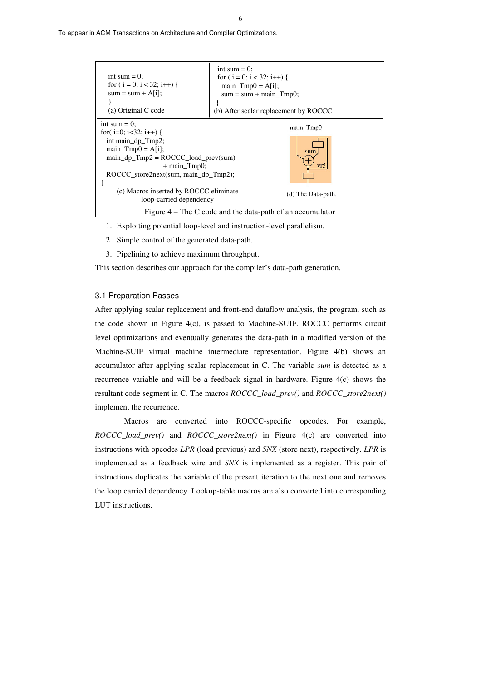To appear in ACM Transactions on Architecture and Compiler Optimizations.



- 1. Exploiting potential loop-level and instruction-level parallelism.
- 2. Simple control of the generated data-path.
- 3. Pipelining to achieve maximum throughput.

This section describes our approach for the compiler's data-path generation.

# 3.1 Preparation Passes

After applying scalar replacement and front-end dataflow analysis, the program, such as the code shown in Figure 4(c), is passed to Machine-SUIF. ROCCC performs circuit level optimizations and eventually generates the data-path in a modified version of the Machine-SUIF virtual machine intermediate representation. Figure 4(b) shows an accumulator after applying scalar replacement in C. The variable *sum* is detected as a recurrence variable and will be a feedback signal in hardware. Figure 4(c) shows the resultant code segment in C. The macros *ROCCC\_load\_prev()* and *ROCCC\_store2next()* implement the recurrence.

Macros are converted into ROCCC-specific opcodes. For example, *ROCCC\_load\_prev()* and *ROCCC\_store2next()* in Figure 4(c) are converted into instructions with opcodes *LPR* (load previous) and *SNX* (store next), respectively. *LPR* is implemented as a feedback wire and *SNX* is implemented as a register. This pair of instructions duplicates the variable of the present iteration to the next one and removes the loop carried dependency. Lookup-table macros are also converted into corresponding LUT instructions.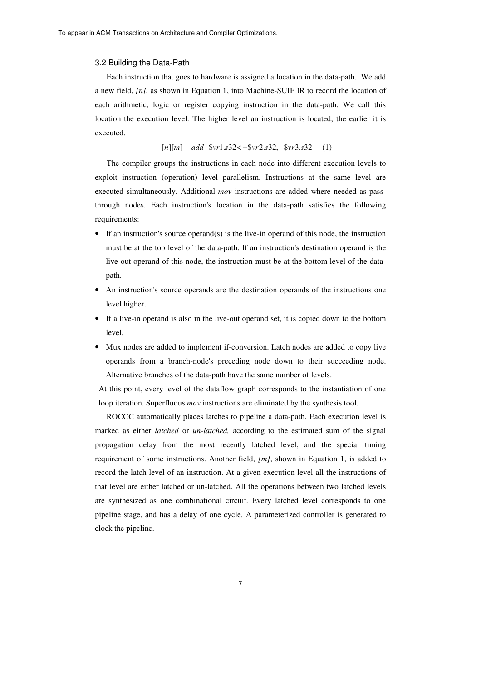## 3.2 Building the Data-Path

Each instruction that goes to hardware is assigned a location in the data-path. We add a new field, *[n],* as shown in Equation 1, into Machine-SUIF IR to record the location of each arithmetic, logic or register copying instruction in the data-path. We call this location the execution level. The higher level an instruction is located, the earlier it is executed.

 $[n][m]$  *add*  $$vr1.s32 < -$vr2.s32, $vr3.s32$  (1)

The compiler groups the instructions in each node into different execution levels to exploit instruction (operation) level parallelism. Instructions at the same level are executed simultaneously. Additional *mov* instructions are added where needed as passthrough nodes. Each instruction's location in the data-path satisfies the following requirements:

- If an instruction's source operand(s) is the live-in operand of this node, the instruction must be at the top level of the data-path. If an instruction's destination operand is the live-out operand of this node, the instruction must be at the bottom level of the datapath.
- An instruction's source operands are the destination operands of the instructions one level higher.
- If a live-in operand is also in the live-out operand set, it is copied down to the bottom level.
- Mux nodes are added to implement if-conversion. Latch nodes are added to copy live operands from a branch-node's preceding node down to their succeeding node. Alternative branches of the data-path have the same number of levels.

At this point, every level of the dataflow graph corresponds to the instantiation of one loop iteration. Superfluous *mov* instructions are eliminated by the synthesis tool.

ROCCC automatically places latches to pipeline a data-path. Each execution level is marked as either *latched* or *un-latched,* according to the estimated sum of the signal propagation delay from the most recently latched level, and the special timing requirement of some instructions. Another field, *[m]*, shown in Equation 1, is added to record the latch level of an instruction. At a given execution level all the instructions of that level are either latched or un-latched. All the operations between two latched levels are synthesized as one combinational circuit. Every latched level corresponds to one pipeline stage, and has a delay of one cycle. A parameterized controller is generated to clock the pipeline.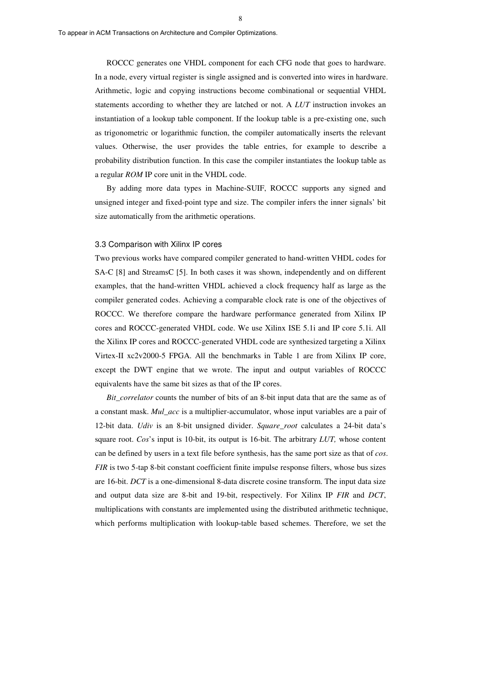ROCCC generates one VHDL component for each CFG node that goes to hardware. In a node, every virtual register is single assigned and is converted into wires in hardware. Arithmetic, logic and copying instructions become combinational or sequential VHDL statements according to whether they are latched or not. A *LUT* instruction invokes an instantiation of a lookup table component. If the lookup table is a pre-existing one, such as trigonometric or logarithmic function, the compiler automatically inserts the relevant values. Otherwise, the user provides the table entries, for example to describe a probability distribution function. In this case the compiler instantiates the lookup table as a regular *ROM* IP core unit in the VHDL code.

By adding more data types in Machine-SUIF, ROCCC supports any signed and unsigned integer and fixed-point type and size. The compiler infers the inner signals' bit size automatically from the arithmetic operations.

#### 3.3 Comparison with Xilinx IP cores

Two previous works have compared compiler generated to hand-written VHDL codes for SA-C [8] and StreamsC [5]. In both cases it was shown, independently and on different examples, that the hand-written VHDL achieved a clock frequency half as large as the compiler generated codes. Achieving a comparable clock rate is one of the objectives of ROCCC. We therefore compare the hardware performance generated from Xilinx IP cores and ROCCC-generated VHDL code. We use Xilinx ISE 5.1i and IP core 5.1i. All the Xilinx IP cores and ROCCC-generated VHDL code are synthesized targeting a Xilinx Virtex-II xc2v2000-5 FPGA. All the benchmarks in Table 1 are from Xilinx IP core, except the DWT engine that we wrote. The input and output variables of ROCCC equivalents have the same bit sizes as that of the IP cores.

*Bit correlator* counts the number of bits of an 8-bit input data that are the same as of a constant mask. *Mul\_acc* is a multiplier-accumulator, whose input variables are a pair of 12-bit data. *Udiv* is an 8-bit unsigned divider. *Square\_root* calculates a 24-bit data's square root. *Cos*'s input is 10-bit, its output is 16-bit. The arbitrary *LUT,* whose content can be defined by users in a text file before synthesis, has the same port size as that of *cos*. *FIR* is two 5-tap 8-bit constant coefficient finite impulse response filters, whose bus sizes are 16-bit. *DCT* is a one-dimensional 8-data discrete cosine transform. The input data size and output data size are 8-bit and 19-bit, respectively. For Xilinx IP *FIR* and *DCT*, multiplications with constants are implemented using the distributed arithmetic technique, which performs multiplication with lookup-table based schemes. Therefore, we set the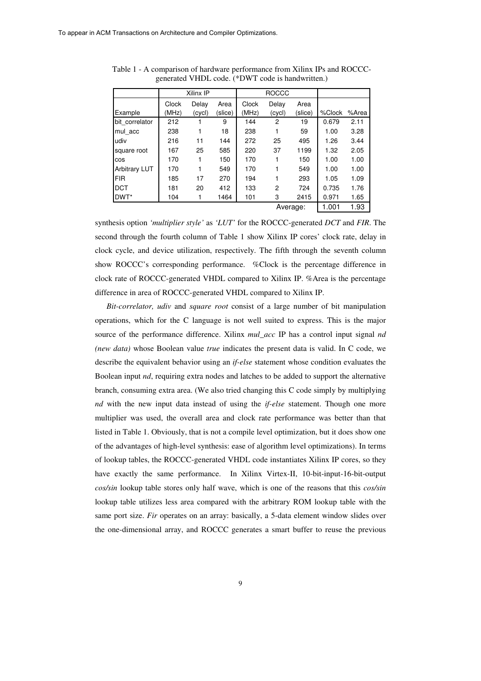|                      |       | Xilinx IP |         |          | <b>ROCCC</b> |         |        |       |
|----------------------|-------|-----------|---------|----------|--------------|---------|--------|-------|
|                      | Clock | Delay     | Area    | Clock    | Delay        | Area    |        |       |
| Example              | (MHz) | (cycl)    | (slice) | (MHz)    | (cycl)       | (slice) | %Clock | %Area |
| bit correlator       | 212   |           | 9       | 144      | 2            | 19      | 0.679  | 2.11  |
| mul acc              | 238   |           | 18      | 238      |              | 59      | 1.00   | 3.28  |
| udiv                 | 216   | 11        | 144     | 272      | 25           | 495     | 1.26   | 3.44  |
| square root          | 167   | 25        | 585     | 220      | 37           | 1199    | 1.32   | 2.05  |
| COS                  | 170   |           | 150     | 170      |              | 150     | 1.00   | 1.00  |
| <b>Arbitrary LUT</b> | 170   |           | 549     | 170      |              | 549     | 1.00   | 1.00  |
| <b>FIR</b>           | 185   | 17        | 270     | 194      | 1            | 293     | 1.05   | 1.09  |
| <b>DCT</b>           | 181   | 20        | 412     | 133      | 2            | 724     | 0.735  | 1.76  |
| DWT*                 | 104   |           | 1464    | 101      | 3            | 2415    | 0.971  | 1.65  |
|                      |       |           |         | Average: |              | 1.001   | 1.93   |       |

Table 1 - A comparison of hardware performance from Xilinx IPs and ROCCCgenerated VHDL code. (\*DWT code is handwritten.)

synthesis option *'multiplier style'* as *'LUT'* for the ROCCC-generated *DCT* and *FIR*. The second through the fourth column of Table 1 show Xilinx IP cores' clock rate, delay in clock cycle, and device utilization, respectively. The fifth through the seventh column show ROCCC's corresponding performance. %Clock is the percentage difference in clock rate of ROCCC-generated VHDL compared to Xilinx IP. %Area is the percentage difference in area of ROCCC-generated VHDL compared to Xilinx IP.

*Bit-correlator, udiv* and *square root* consist of a large number of bit manipulation operations, which for the C language is not well suited to express. This is the major source of the performance difference. Xilinx *mul\_acc* IP has a control input signal *nd (new data)* whose Boolean value *true* indicates the present data is valid. In C code, we describe the equivalent behavior using an *if-else* statement whose condition evaluates the Boolean input *nd*, requiring extra nodes and latches to be added to support the alternative branch, consuming extra area. (We also tried changing this C code simply by multiplying *nd* with the new input data instead of using the *if-else* statement. Though one more multiplier was used, the overall area and clock rate performance was better than that listed in Table 1. Obviously, that is not a compile level optimization, but it does show one of the advantages of high-level synthesis: ease of algorithm level optimizations). In terms of lookup tables, the ROCCC-generated VHDL code instantiates Xilinx IP cores, so they have exactly the same performance. In Xilinx Virtex-II, 10-bit-input-16-bit-output *cos/sin* lookup table stores only half wave, which is one of the reasons that this *cos/sin*  lookup table utilizes less area compared with the arbitrary ROM lookup table with the same port size. *Fir* operates on an array: basically, a 5-data element window slides over the one-dimensional array, and ROCCC generates a smart buffer to reuse the previous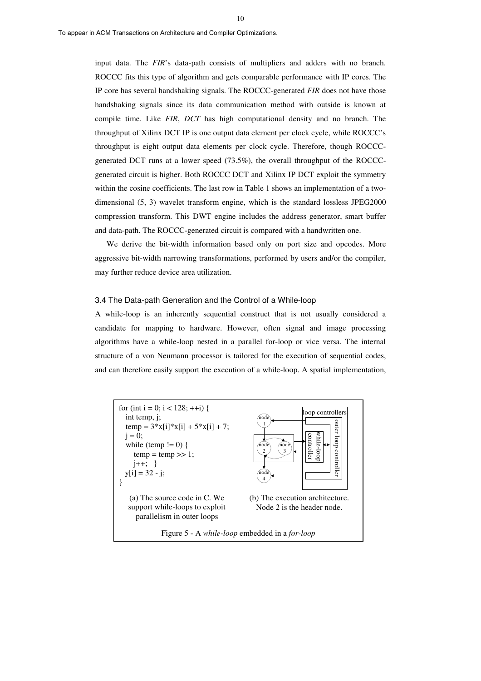input data. The *FIR*'s data-path consists of multipliers and adders with no branch. ROCCC fits this type of algorithm and gets comparable performance with IP cores. The IP core has several handshaking signals. The ROCCC-generated *FIR* does not have those handshaking signals since its data communication method with outside is known at compile time. Like *FIR*, *DCT* has high computational density and no branch. The throughput of Xilinx DCT IP is one output data element per clock cycle, while ROCCC's throughput is eight output data elements per clock cycle. Therefore, though ROCCCgenerated DCT runs at a lower speed (73.5%), the overall throughput of the ROCCCgenerated circuit is higher. Both ROCCC DCT and Xilinx IP DCT exploit the symmetry within the cosine coefficients. The last row in Table 1 shows an implementation of a twodimensional (5, 3) wavelet transform engine, which is the standard lossless JPEG2000 compression transform. This DWT engine includes the address generator, smart buffer and data-path. The ROCCC-generated circuit is compared with a handwritten one.

We derive the bit-width information based only on port size and opcodes. More aggressive bit-width narrowing transformations, performed by users and/or the compiler, may further reduce device area utilization.

## 3.4 The Data-path Generation and the Control of a While-loop

A while-loop is an inherently sequential construct that is not usually considered a candidate for mapping to hardware. However, often signal and image processing algorithms have a while-loop nested in a parallel for-loop or vice versa. The internal structure of a von Neumann processor is tailored for the execution of sequential codes, and can therefore easily support the execution of a while-loop. A spatial implementation,

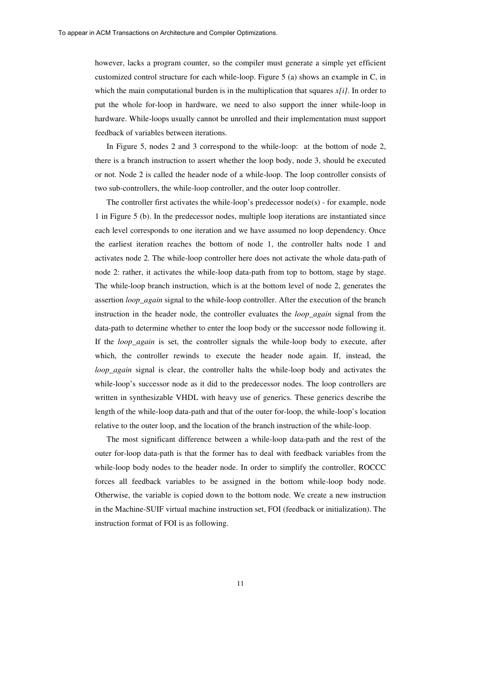however, lacks a program counter, so the compiler must generate a simple yet efficient customized control structure for each while-loop. Figure 5 (a) shows an example in C, in which the main computational burden is in the multiplication that squares *x[i]*. In order to put the whole for-loop in hardware, we need to also support the inner while-loop in hardware. While-loops usually cannot be unrolled and their implementation must support feedback of variables between iterations.

In Figure 5, nodes 2 and 3 correspond to the while-loop: at the bottom of node 2, there is a branch instruction to assert whether the loop body, node 3, should be executed or not. Node 2 is called the header node of a while-loop. The loop controller consists of two sub-controllers, the while-loop controller, and the outer loop controller.

The controller first activates the while-loop's predecessor node(s) - for example, node 1 in Figure 5 (b). In the predecessor nodes, multiple loop iterations are instantiated since each level corresponds to one iteration and we have assumed no loop dependency. Once the earliest iteration reaches the bottom of node 1, the controller halts node 1 and activates node 2. The while-loop controller here does not activate the whole data-path of node 2: rather, it activates the while-loop data-path from top to bottom, stage by stage. The while-loop branch instruction, which is at the bottom level of node 2, generates the assertion *loop\_again* signal to the while-loop controller. After the execution of the branch instruction in the header node, the controller evaluates the *loop\_again* signal from the data-path to determine whether to enter the loop body or the successor node following it. If the *loop* again is set, the controller signals the while-loop body to execute, after which, the controller rewinds to execute the header node again. If, instead, the *loop again* signal is clear, the controller halts the while-loop body and activates the while-loop's successor node as it did to the predecessor nodes. The loop controllers are written in synthesizable VHDL with heavy use of generics. These generics describe the length of the while-loop data-path and that of the outer for-loop, the while-loop's location relative to the outer loop, and the location of the branch instruction of the while-loop.

The most significant difference between a while-loop data-path and the rest of the outer for-loop data-path is that the former has to deal with feedback variables from the while-loop body nodes to the header node. In order to simplify the controller, ROCCC forces all feedback variables to be assigned in the bottom while-loop body node. Otherwise, the variable is copied down to the bottom node. We create a new instruction in the Machine-SUIF virtual machine instruction set, FOI (feedback or initialization). The instruction format of FOI is as following.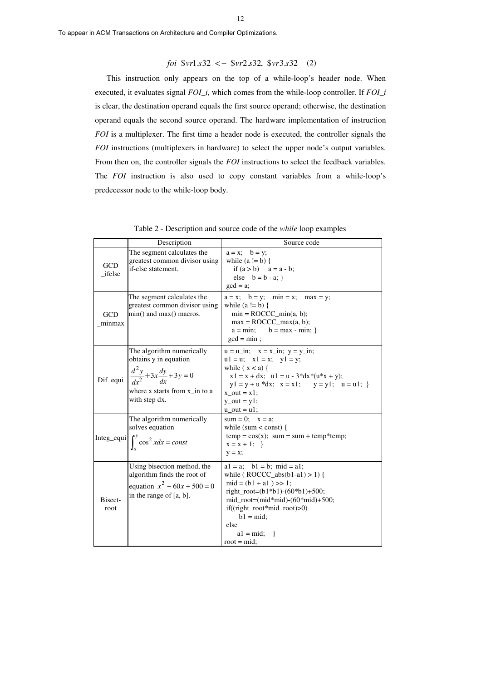To appear in ACM Transactions on Architecture and Compiler Optimizations.

$$
foi \$vr1s32 < - \$vr2s32, \$vr3s32 \quad (2)
$$

This instruction only appears on the top of a while-loop's header node. When executed, it evaluates signal *FOI\_i*, which comes from the while-loop controller. If *FOI\_i*  is clear, the destination operand equals the first source operand; otherwise, the destination operand equals the second source operand. The hardware implementation of instruction *FOI* is a multiplexer. The first time a header node is executed, the controller signals the *FOI* instructions (multiplexers in hardware) to select the upper node's output variables. From then on, the controller signals the *FOI* instructions to select the feedback variables. The *FOI* instruction is also used to copy constant variables from a while-loop's predecessor node to the while-loop body.

|                      | Description                                                                                                                                                | Source code                                                                                                                                                                                                                                                                                                    |  |  |  |  |
|----------------------|------------------------------------------------------------------------------------------------------------------------------------------------------------|----------------------------------------------------------------------------------------------------------------------------------------------------------------------------------------------------------------------------------------------------------------------------------------------------------------|--|--|--|--|
| GCD<br>_ifelse       | The segment calculates the<br>greatest common divisor using<br>if-else statement.                                                                          | $a = x$ ; $b = y$ ;<br>while $(a != b)$ {<br>if $(a > b)$ $a = a - b$ ;<br>else $b = b - a$ ; }<br>$gcd = a;$                                                                                                                                                                                                  |  |  |  |  |
| <b>GCD</b><br>minmax | The segment calculates the<br>greatest common divisor using<br>min() and max() macros.                                                                     | $a = x$ ; $b = y$ ; $min = x$ ; $max = y$ ;<br>while $(a != b)$ {<br>$min = ROCCC\_min(a, b);$<br>$max = ROCCC_max(a, b);$<br>$a = min;$ $b = max - min;$<br>$gcd = min$ ;                                                                                                                                     |  |  |  |  |
| Dif_equi             | The algorithm numerically<br>obtains y in equation<br>$\frac{d^2y}{dx^2} + 3x\frac{dy}{dx} + 3y = 0$<br>where $x$ starts from $x$ in to a<br>with step dx. | $u = u$ <sub>in</sub> ; $x = x$ <sub>in</sub> ; $y = y$ <sub>in</sub> ;<br>$u1 = u$ ; $x1 = x$ ; $y1 = y$ ;<br>while $(x < a)$ {<br>$x1 = x + dx$ ; $u1 = u - 3 * dx * (u * x + y)$ ;<br>$y1 = y + u * dx$ ; $x = x1$ ; $y = y1$ ; $u = u1$ ; }<br>$x_{out} = x1$ ;<br>$y_$ out = $y_1$ ;<br>$u_$ out = $u1$ ; |  |  |  |  |
|                      | The algorithm numerically<br>solves equation<br>Integ_equi $\int^y \cos^2 x dx = const$                                                                    | $sum = 0$ ; $x = a$ ;<br>while (sum $<$ const) {<br>$temp = cos(x)$ ; sum = sum + temp*temp;<br>$x = x + 1;$<br>$y = x$ ;                                                                                                                                                                                      |  |  |  |  |
| Bisect-<br>root      | Using bisection method, the<br>algorithm finds the root of<br>equation $x^2 - 60x + 500 = 0$<br>in the range of [a, b].                                    | $a1 = a$ ; $b1 = b$ ; $mid = a1$ ;<br>while ( $\text{ROCCC}_abs(b1-a1) > 1$ ) {<br>$mid = (b1 + a1) >> 1;$<br>right_root= $(b1*b1)-(60*b1)+500;$<br>$mid\_root=(mid*mid)-(60*mid)+500;$<br>if((right_root*mid_root)>0)<br>$b1 = mid;$<br>else<br>$a1 = mid;$<br>$\rightarrow$<br>$root = mid$ ;                |  |  |  |  |

Table 2 - Description and source code of the *while* loop examples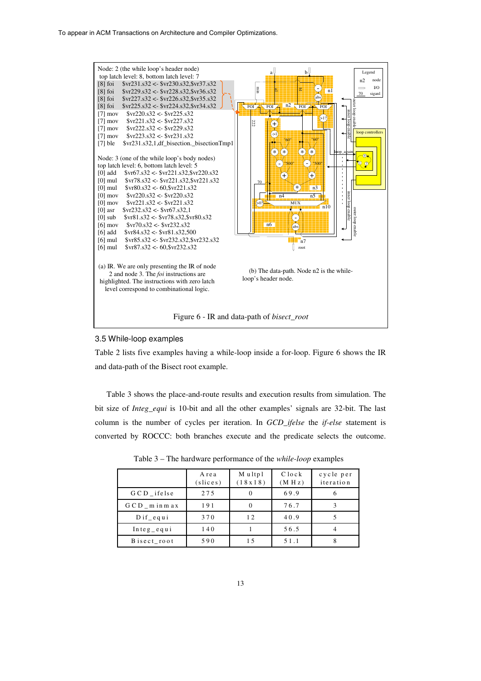

#### 3.5 While-loop examples

Table 2 lists five examples having a while-loop inside a for-loop. Figure 6 shows the IR and data-path of the Bisect root example.

Table 3 shows the place-and-route results and execution results from simulation. The bit size of *Integ\_equi* is 10-bit and all the other examples' signals are 32-bit. The last column is the number of cycles per iteration. In *GCD\_ifelse* the *if-else* statement is converted by ROCCC: both branches execute and the predicate selects the outcome.

|              | Area<br>(slices) | Multpl<br>(18x18) | $C \n  loc k$<br>(M H z) | cycle per<br>iteration |
|--------------|------------------|-------------------|--------------------------|------------------------|
| GCD ifelse   | 275              |                   | 69.9                     |                        |
| GCD minmax   | 191              |                   | 76.7                     |                        |
| $Diff_equi$  | 370              | 12                | 40.9                     |                        |
| $Integ_equi$ | 140              |                   | 56.5                     |                        |
| Bisect root  | 590              |                   | 51.1                     |                        |

Table 3 – The hardware performance of the *while-loop* examples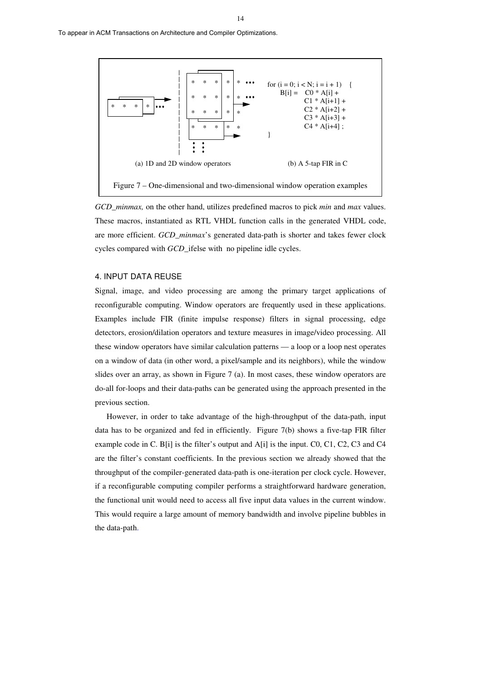

*GCD\_minmax,* on the other hand, utilizes predefined macros to pick *min* and *max* values. These macros, instantiated as RTL VHDL function calls in the generated VHDL code, are more efficient. *GCD\_minmax*'s generated data-path is shorter and takes fewer clock cycles compared with *GCD\_*ifelse with no pipeline idle cycles.

#### 4. INPUT DATA REUSE

Signal, image, and video processing are among the primary target applications of reconfigurable computing. Window operators are frequently used in these applications. Examples include FIR (finite impulse response) filters in signal processing, edge detectors, erosion/dilation operators and texture measures in image/video processing. All these window operators have similar calculation patterns — a loop or a loop nest operates on a window of data (in other word, a pixel/sample and its neighbors), while the window slides over an array, as shown in Figure 7 (a). In most cases, these window operators are do-all for-loops and their data-paths can be generated using the approach presented in the previous section.

However, in order to take advantage of the high-throughput of the data-path, input data has to be organized and fed in efficiently. Figure  $7(b)$  shows a five-tap FIR filter example code in C. B[i] is the filter's output and  $A[i]$  is the input. C0, C1, C2, C3 and C4 are the filter's constant coefficients. In the previous section we already showed that the throughput of the compiler-generated data-path is one-iteration per clock cycle. However, if a reconfigurable computing compiler performs a straightforward hardware generation, the functional unit would need to access all five input data values in the current window. This would require a large amount of memory bandwidth and involve pipeline bubbles in the data-path.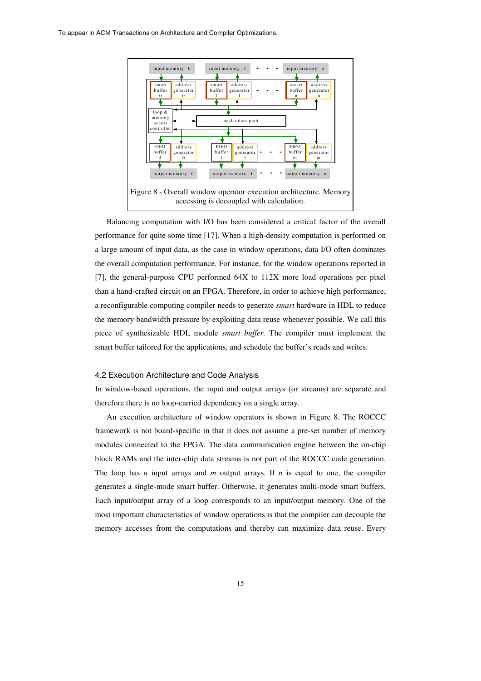

Balancing computation with I/O has been considered a critical factor of the overall performance for quite some time [17]. When a high-density computation is performed on a large amount of input data, as the case in window operations, data I/O often dominates the overall computation performance. For instance, for the window operations reported in [7], the general-purpose CPU performed 64X to 112X more load operations per pixel than a hand-crafted circuit on an FPGA. Therefore, in order to achieve high performance, a reconfigurable computing compiler needs to generate *smart* hardware in HDL to reduce the memory bandwidth pressure by exploiting data reuse whenever possible. We call this piece of synthesizable HDL module *smart buffer.* The compiler must implement the smart buffer tailored for the applications, and schedule the buffer's reads and writes.

## 4.2 Execution Architecture and Code Analysis

In window-based operations, the input and output arrays (or streams) are separate and therefore there is no loop-carried dependency on a single array.

An execution architecture of window operators is shown in Figure 8. The ROCCC framework is not board-specific in that it does not assume a pre-set number of memory modules connected to the FPGA. The data communication engine between the on-chip block RAMs and the inter-chip data streams is not part of the ROCCC code generation. The loop has *n* input arrays and *m* output arrays. If *n* is equal to one, the compiler generates a single-mode smart buffer. Otherwise, it generates multi-mode smart buffers. Each input/output array of a loop corresponds to an input/output memory. One of the most important characteristics of window operations is that the compiler can decouple the memory accesses from the computations and thereby can maximize data reuse. Every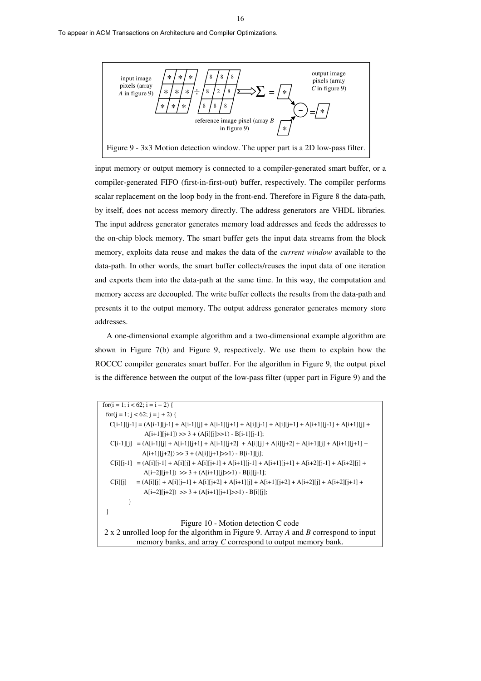To appear in ACM Transactions on Architecture and Compiler Optimizations.



input memory or output memory is connected to a compiler-generated smart buffer, or a compiler-generated FIFO (first-in-first-out) buffer, respectively. The compiler performs scalar replacement on the loop body in the front-end. Therefore in Figure 8 the data-path, by itself, does not access memory directly. The address generators are VHDL libraries. The input address generator generates memory load addresses and feeds the addresses to the on-chip block memory. The smart buffer gets the input data streams from the block memory, exploits data reuse and makes the data of the *current window* available to the data-path. In other words, the smart buffer collects/reuses the input data of one iteration and exports them into the data-path at the same time. In this way, the computation and memory access are decoupled. The write buffer collects the results from the data-path and presents it to the output memory. The output address generator generates memory store addresses.

A one-dimensional example algorithm and a two-dimensional example algorithm are shown in Figure 7(b) and Figure 9, respectively. We use them to explain how the ROCCC compiler generates smart buffer. For the algorithm in Figure 9, the output pixel is the difference between the output of the low-pass filter (upper part in Figure 9) and the

```
for(i = 1; i < 62; i = i + 2) {
 for(j = 1; j < 62; j = j + 2) {
  C[i-1][j-1] = (A[i-1][j-1] + A[i-1][j] + A[i-1][j+1] + A[i][j-1] + A[i][j+1] + A[i+1][j-1] + A[i+1][j] + A[i+1][j+1]A[i+1][j+1]) \gg 3 + (A[i][j] \gg 1) - B[i-1][j-1];C[i-1][j] = (A[i-1][j] + A[i-1][j+1] + A[i-1][j+2] + A[i][j] + A[i][j+2] + A[i+1][j] + A[i+1][j+1] +A[i+1][j+2] \gg 3 + (A[i][j+1] \gg 1) - B[i-1][j];C[i][j-1] = (A[i][j-1] + A[i][j] + A[i][j+1] + A[i+1][j-1] + A[i+1][j+1] + A[i+2][j-1] + A[i+2][j] +A[i+2][j+1] >> 3 + (A[i+1][j]>>1) - B[i][j-1];C[i][j] = (A[i][j] + A[i][j+1] + A[i][j+2] + A[i+1][j] + A[i+1][j+2] + A[i+2][j] + A[i+2][j+1] +A[i+2][j+2]) >> 3 + (A[i+1][j+1]>>1) - B[i][j]; } 
  } 
                             Figure 10 - Motion detection C code 
2 x 2 unrolled loop for the algorithm in Figure 9. Array A and B correspond to input 
            memory banks, and array C correspond to output memory bank.
```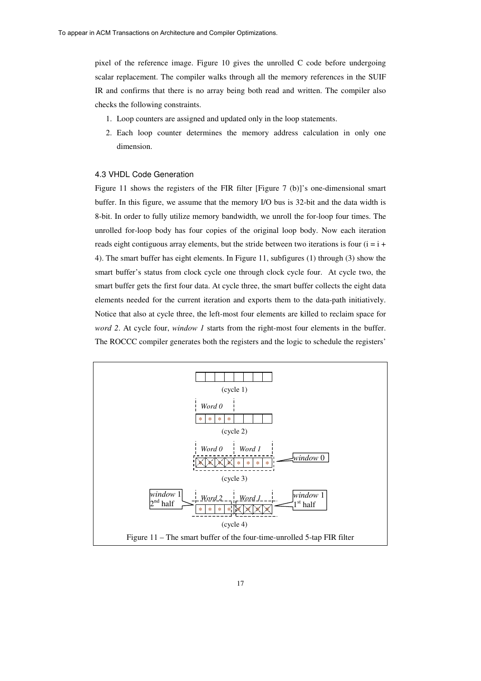pixel of the reference image. Figure 10 gives the unrolled C code before undergoing scalar replacement. The compiler walks through all the memory references in the SUIF IR and confirms that there is no array being both read and written. The compiler also checks the following constraints.

- 1. Loop counters are assigned and updated only in the loop statements.
- 2. Each loop counter determines the memory address calculation in only one dimension.

# 4.3 VHDL Code Generation

Figure 11 shows the registers of the FIR filter [Figure 7 (b)]'s one-dimensional smart buffer. In this figure, we assume that the memory I/O bus is 32-bit and the data width is 8-bit. In order to fully utilize memory bandwidth, we unroll the for-loop four times. The unrolled for-loop body has four copies of the original loop body. Now each iteration reads eight contiguous array elements, but the stride between two iterations is four  $(i = i +$ 4). The smart buffer has eight elements. In Figure 11, subfigures (1) through (3) show the smart buffer's status from clock cycle one through clock cycle four. At cycle two, the smart buffer gets the first four data. At cycle three, the smart buffer collects the eight data elements needed for the current iteration and exports them to the data-path initiatively. Notice that also at cycle three, the left-most four elements are killed to reclaim space for *word 2*. At cycle four, *window 1* starts from the right-most four elements in the buffer. The ROCCC compiler generates both the registers and the logic to schedule the registers'

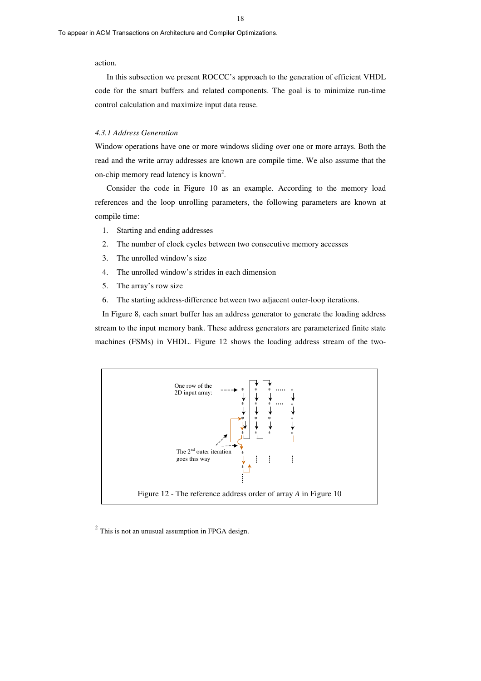#### action.

In this subsection we present ROCCC's approach to the generation of efficient VHDL code for the smart buffers and related components. The goal is to minimize run-time control calculation and maximize input data reuse.

## *4.3.1 Address Generation*

Window operations have one or more windows sliding over one or more arrays. Both the read and the write array addresses are known are compile time. We also assume that the on-chip memory read latency is known<sup>2</sup>.

Consider the code in Figure 10 as an example. According to the memory load references and the loop unrolling parameters, the following parameters are known at compile time:

- 1. Starting and ending addresses
- 2. The number of clock cycles between two consecutive memory accesses
- 3. The unrolled window's size
- 4. The unrolled window's strides in each dimension
- 5. The array's row size
- 6. The starting address-difference between two adjacent outer-loop iterations.

In Figure 8, each smart buffer has an address generator to generate the loading address stream to the input memory bank. These address generators are parameterized finite state machines (FSMs) in VHDL. Figure 12 shows the loading address stream of the two-



<sup>&</sup>lt;sup>2</sup> This is not an unusual assumption in FPGA design.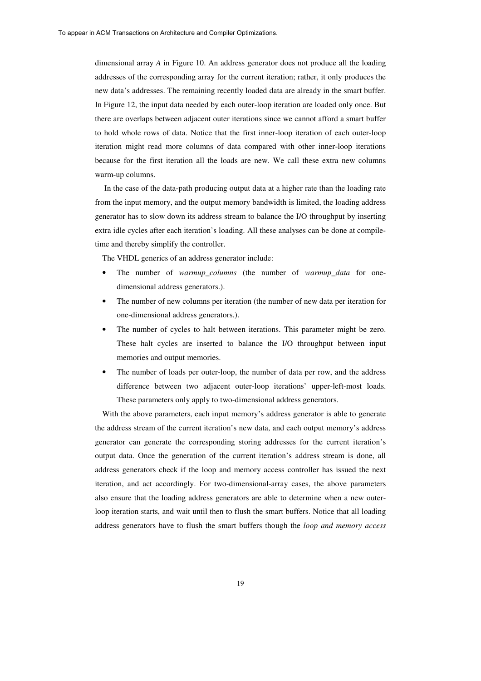dimensional array *A* in Figure 10. An address generator does not produce all the loading addresses of the corresponding array for the current iteration; rather, it only produces the new data's addresses. The remaining recently loaded data are already in the smart buffer. In Figure 12, the input data needed by each outer-loop iteration are loaded only once. But there are overlaps between adjacent outer iterations since we cannot afford a smart buffer to hold whole rows of data. Notice that the first inner-loop iteration of each outer-loop iteration might read more columns of data compared with other inner-loop iterations because for the first iteration all the loads are new. We call these extra new columns warm-up columns.

 In the case of the data-path producing output data at a higher rate than the loading rate from the input memory, and the output memory bandwidth is limited, the loading address generator has to slow down its address stream to balance the I/O throughput by inserting extra idle cycles after each iteration's loading. All these analyses can be done at compiletime and thereby simplify the controller.

The VHDL generics of an address generator include:

- The number of *warmup\_columns* (the number of *warmup\_data* for onedimensional address generators.).
- The number of new columns per iteration (the number of new data per iteration for one-dimensional address generators.).
- The number of cycles to halt between iterations. This parameter might be zero. These halt cycles are inserted to balance the I/O throughput between input memories and output memories.
- The number of loads per outer-loop, the number of data per row, and the address difference between two adjacent outer-loop iterations' upper-left-most loads. These parameters only apply to two-dimensional address generators.

With the above parameters, each input memory's address generator is able to generate the address stream of the current iteration's new data, and each output memory's address generator can generate the corresponding storing addresses for the current iteration's output data. Once the generation of the current iteration's address stream is done, all address generators check if the loop and memory access controller has issued the next iteration, and act accordingly. For two-dimensional-array cases, the above parameters also ensure that the loading address generators are able to determine when a new outerloop iteration starts, and wait until then to flush the smart buffers. Notice that all loading address generators have to flush the smart buffers though the *loop and memory access*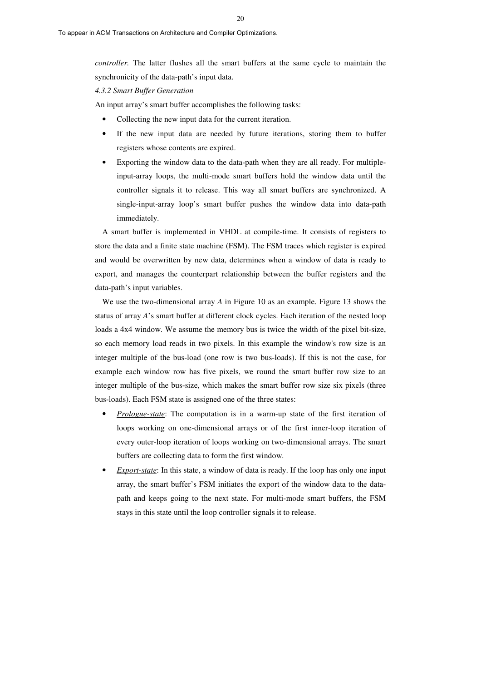*controller.* The latter flushes all the smart buffers at the same cycle to maintain the synchronicity of the data-path's input data.

## *4.3.2 Smart Buffer Generation*

An input array's smart buffer accomplishes the following tasks:

- Collecting the new input data for the current iteration.
- If the new input data are needed by future iterations, storing them to buffer registers whose contents are expired.
- Exporting the window data to the data-path when they are all ready. For multipleinput-array loops, the multi-mode smart buffers hold the window data until the controller signals it to release. This way all smart buffers are synchronized. A single-input-array loop's smart buffer pushes the window data into data-path immediately.

A smart buffer is implemented in VHDL at compile-time. It consists of registers to store the data and a finite state machine (FSM). The FSM traces which register is expired and would be overwritten by new data, determines when a window of data is ready to export, and manages the counterpart relationship between the buffer registers and the data-path's input variables.

We use the two-dimensional array *A* in Figure 10 as an example. Figure 13 shows the status of array *A*'s smart buffer at different clock cycles. Each iteration of the nested loop loads a 4x4 window. We assume the memory bus is twice the width of the pixel bit-size, so each memory load reads in two pixels. In this example the window's row size is an integer multiple of the bus-load (one row is two bus-loads). If this is not the case, for example each window row has five pixels, we round the smart buffer row size to an integer multiple of the bus-size, which makes the smart buffer row size six pixels (three bus-loads). Each FSM state is assigned one of the three states:

- *Prologue-state*: The computation is in a warm-up state of the first iteration of loops working on one-dimensional arrays or of the first inner-loop iteration of every outer-loop iteration of loops working on two-dimensional arrays. The smart buffers are collecting data to form the first window.
- *Export-state*: In this state, a window of data is ready. If the loop has only one input array, the smart buffer's FSM initiates the export of the window data to the datapath and keeps going to the next state. For multi-mode smart buffers, the FSM stays in this state until the loop controller signals it to release.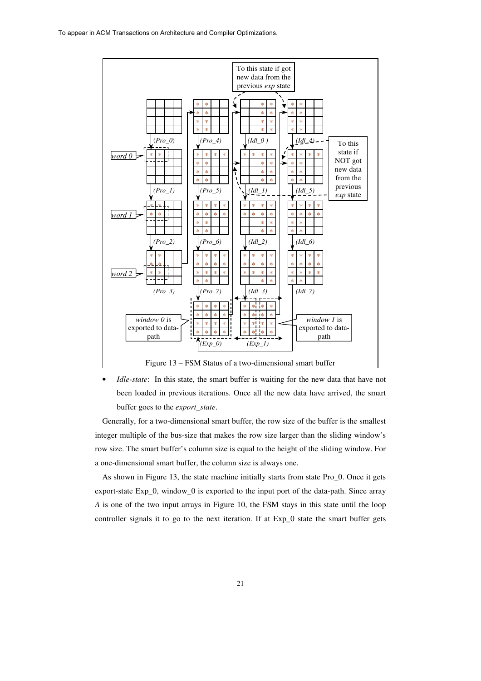

• *Idle-state*: In this state, the smart buffer is waiting for the new data that have not been loaded in previous iterations. Once all the new data have arrived, the smart buffer goes to the *export\_state*.

Generally, for a two-dimensional smart buffer, the row size of the buffer is the smallest integer multiple of the bus-size that makes the row size larger than the sliding window's row size. The smart buffer's column size is equal to the height of the sliding window. For a one-dimensional smart buffer, the column size is always one.

As shown in Figure 13, the state machine initially starts from state Pro\_0. Once it gets export-state Exp\_0, window\_0 is exported to the input port of the data-path. Since array *A* is one of the two input arrays in Figure 10, the FSM stays in this state until the loop controller signals it to go to the next iteration. If at Exp\_0 state the smart buffer gets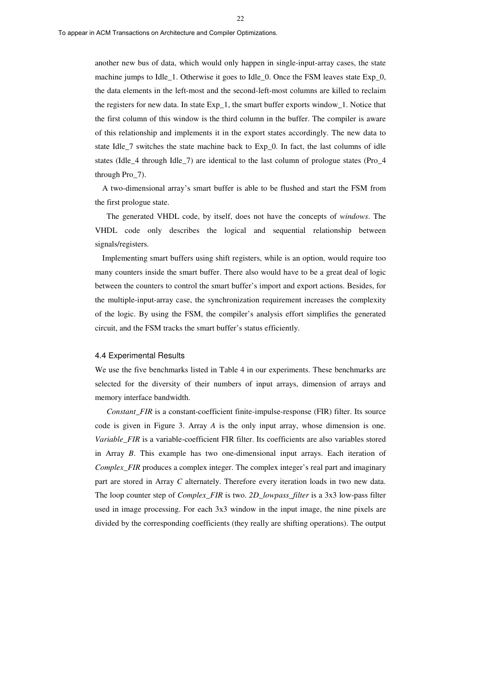another new bus of data, which would only happen in single-input-array cases, the state machine jumps to Idle 1. Otherwise it goes to Idle 0. Once the FSM leaves state Exp\_0, the data elements in the left-most and the second-left-most columns are killed to reclaim the registers for new data. In state Exp\_1, the smart buffer exports window\_1. Notice that the first column of this window is the third column in the buffer. The compiler is aware of this relationship and implements it in the export states accordingly. The new data to state Idle\_7 switches the state machine back to Exp\_0. In fact, the last columns of idle states (Idle\_4 through Idle\_7) are identical to the last column of prologue states (Pro\_4 through Pro\_7).

A two-dimensional array's smart buffer is able to be flushed and start the FSM from the first prologue state.

The generated VHDL code, by itself, does not have the concepts of *windows*. The VHDL code only describes the logical and sequential relationship between signals/registers.

Implementing smart buffers using shift registers, while is an option, would require too many counters inside the smart buffer. There also would have to be a great deal of logic between the counters to control the smart buffer's import and export actions. Besides, for the multiple-input-array case, the synchronization requirement increases the complexity of the logic. By using the FSM, the compiler's analysis effort simplifies the generated circuit, and the FSM tracks the smart buffer's status efficiently.

#### 4.4 Experimental Results

We use the five benchmarks listed in Table 4 in our experiments. These benchmarks are selected for the diversity of their numbers of input arrays, dimension of arrays and memory interface bandwidth.

*Constant\_FIR* is a constant-coefficient finite-impulse-response (FIR) filter. Its source code is given in Figure 3. Array *A* is the only input array, whose dimension is one. *Variable\_FIR* is a variable-coefficient FIR filter. Its coefficients are also variables stored in Array *B*. This example has two one-dimensional input arrays. Each iteration of *Complex FIR* produces a complex integer. The complex integer's real part and imaginary part are stored in Array *C* alternately. Therefore every iteration loads in two new data. The loop counter step of *Complex\_FIR* is two. *2D\_lowpass\_filter* is a 3x3 low-pass filter used in image processing. For each 3x3 window in the input image, the nine pixels are divided by the corresponding coefficients (they really are shifting operations). The output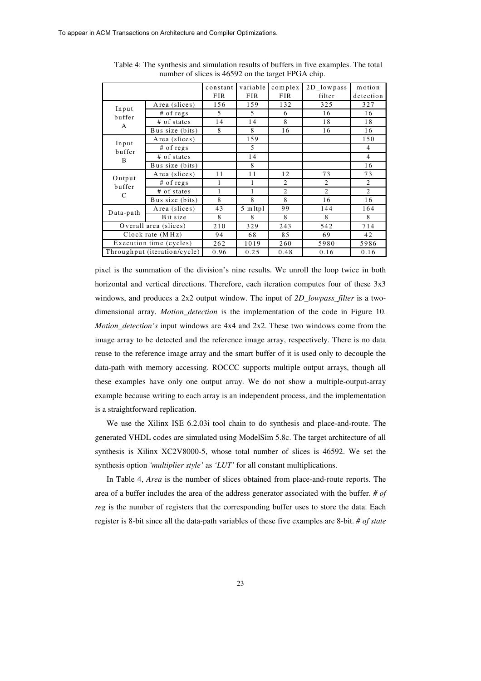|                              |                 | constant   | variable   | complex        | $2D_{\text{lowpass}}$ | motion         |
|------------------------------|-----------------|------------|------------|----------------|-----------------------|----------------|
|                              |                 | <b>FIR</b> | <b>FIR</b> | <b>FIR</b>     | filter                | detection      |
|                              | Area (slices)   | 156        | 159        | 132            | 325                   | 327            |
| Input<br>buffer              | # of regs       | 5          | 5          | 6              | 16                    | 16             |
| A                            | # of states     | 14         | 14         | 8              | 18                    | 18             |
|                              | Bus size (bits) | 8          | 8          | 16             | 16                    | 16             |
| Input                        | Area (slices)   |            | 159        |                |                       | 150            |
| buffer                       | # of regs       |            | 5          |                |                       | $\overline{4}$ |
| B                            | # of states     |            | 14         |                |                       | $\overline{4}$ |
|                              | Bus size (bits) |            | 8          |                |                       | 16             |
| $O$ utput<br>buffer<br>C     | Area (slices)   | 11         | 11         | 12             | 73                    | 73             |
|                              | # of regs       | 1          | 1          | $\overline{2}$ | $\overline{2}$        | 2              |
|                              | # of states     | 1          | 1          | $\overline{c}$ | $\overline{2}$        | $\mathfrak{2}$ |
|                              | Bus size (bits) | 8          | 8          | 8              | 16                    | 16             |
| Data-path                    | Area (slices)   | 43         | 5 mltpl    | 99             | 144                   | 164            |
|                              | Bit size        | 8          | 8          | 8              | 8                     | 8              |
| Overall area (slices)        |                 | 210        | 329        | 243            | 542                   | 714            |
| Clock rate (MHz)             |                 | 94         | 68         | 85             | 69                    | 42             |
| Execution time (cycles)      |                 | 262        | 1019       | 260            | 5980                  | 5986           |
| Throughput (iteration/cycle) |                 | 0.96       | 0.25       | 0.48           | 0.16                  | 0.16           |

Table 4: The synthesis and simulation results of buffers in five examples. The total number of slices is 46592 on the target FPGA chip.

pixel is the summation of the division's nine results. We unroll the loop twice in both horizontal and vertical directions. Therefore, each iteration computes four of these 3x3 windows, and produces a 2x2 output window. The input of *2D\_lowpass\_filter* is a twodimensional array. *Motion\_detection* is the implementation of the code in Figure 10. *Motion\_detection's* input windows are 4x4 and 2x2. These two windows come from the image array to be detected and the reference image array, respectively. There is no data reuse to the reference image array and the smart buffer of it is used only to decouple the data-path with memory accessing. ROCCC supports multiple output arrays, though all these examples have only one output array. We do not show a multiple-output-array example because writing to each array is an independent process, and the implementation is a straightforward replication.

We use the Xilinx ISE 6.2.03i tool chain to do synthesis and place-and-route. The generated VHDL codes are simulated using ModelSim 5.8c. The target architecture of all synthesis is Xilinx XC2V8000-5, whose total number of slices is 46592. We set the synthesis option *'multiplier style'* as *'LUT'* for all constant multiplications.

In Table 4, *Area* is the number of slices obtained from place-and-route reports. The area of a buffer includes the area of the address generator associated with the buffer. *# of reg* is the number of registers that the corresponding buffer uses to store the data. Each register is 8-bit since all the data-path variables of these five examples are 8-bit. *# of state*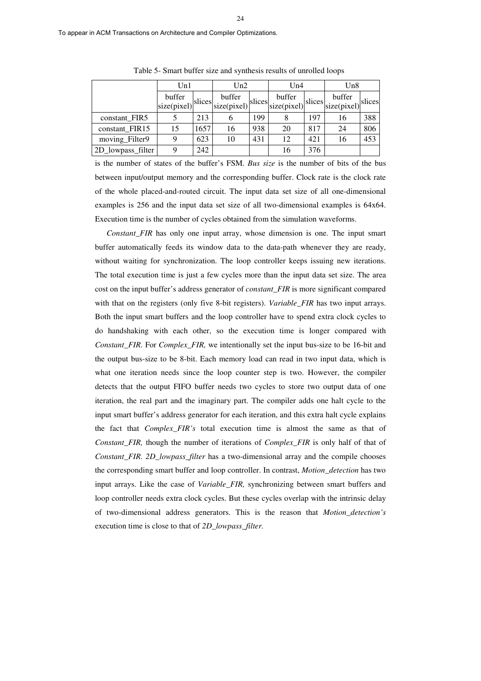|                   | Un1                   |        |                       | Un2    |                                            | U <sub>n4</sub> |                       | Un8    |  |  |
|-------------------|-----------------------|--------|-----------------------|--------|--------------------------------------------|-----------------|-----------------------|--------|--|--|
|                   | buffer<br>size(pixel) | slices | buffer<br>size(pixel) | slices | buffer<br>$\sim$ size(pixel) slices $\sim$ |                 | buffer<br>size(pixel) | slices |  |  |
| constant_FIR5     |                       | 213    | 6                     | 199    | 8                                          | 197             | 16                    | 388    |  |  |
| constant FIR15    | 15                    | 1657   | 16                    | 938    | 20                                         | 817             | 24                    | 806    |  |  |
| moving_Filter9    | 9                     | 623    | 10                    | 431    | 12                                         | 421             | 16                    | 453    |  |  |
| 2D_lowpass_filter | 9                     | 242    |                       |        | 16                                         | 376             |                       |        |  |  |
|                   |                       |        |                       |        |                                            |                 |                       |        |  |  |

Table 5- Smart buffer size and synthesis results of unrolled loops

is the number of states of the buffer's FSM. *Bus size* is the number of bits of the bus between input/output memory and the corresponding buffer. Clock rate is the clock rate of the whole placed-and-routed circuit. The input data set size of all one-dimensional examples is 256 and the input data set size of all two-dimensional examples is 64x64. Execution time is the number of cycles obtained from the simulation waveforms.

*Constant\_FIR* has only one input array, whose dimension is one. The input smart buffer automatically feeds its window data to the data-path whenever they are ready, without waiting for synchronization. The loop controller keeps issuing new iterations. The total execution time is just a few cycles more than the input data set size. The area cost on the input buffer's address generator of *constant\_FIR* is more significant compared with that on the registers (only five 8-bit registers). *Variable\_FIR* has two input arrays. Both the input smart buffers and the loop controller have to spend extra clock cycles to do handshaking with each other, so the execution time is longer compared with *Constant FIR.* For *Complex FIR,* we intentionally set the input bus-size to be 16-bit and the output bus-size to be 8-bit. Each memory load can read in two input data, which is what one iteration needs since the loop counter step is two. However, the compiler detects that the output FIFO buffer needs two cycles to store two output data of one iteration, the real part and the imaginary part. The compiler adds one halt cycle to the input smart buffer's address generator for each iteration, and this extra halt cycle explains the fact that *Complex\_FIR's* total execution time is almost the same as that of *Constant\_FIR,* though the number of iterations of *Complex\_FIR* is only half of that of *Constant\_FIR. 2D\_lowpass\_filter* has a two-dimensional array and the compile chooses the corresponding smart buffer and loop controller. In contrast, *Motion\_detection* has two input arrays. Like the case of *Variable\_FIR,* synchronizing between smart buffers and loop controller needs extra clock cycles. But these cycles overlap with the intrinsic delay of two-dimensional address generators. This is the reason that *Motion\_detection's*  execution time is close to that of *2D\_lowpass\_filter.*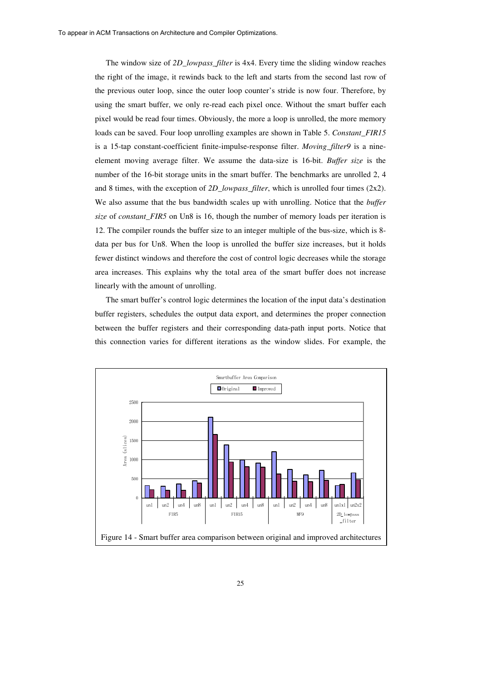The window size of *2D\_lowpass\_filter* is 4x4. Every time the sliding window reaches the right of the image, it rewinds back to the left and starts from the second last row of the previous outer loop, since the outer loop counter's stride is now four. Therefore, by using the smart buffer, we only re-read each pixel once. Without the smart buffer each pixel would be read four times. Obviously, the more a loop is unrolled, the more memory loads can be saved. Four loop unrolling examples are shown in Table 5. *Constant\_FIR15* is a 15-tap constant-coefficient finite-impulse-response filter. *Moving\_filter9* is a nineelement moving average filter. We assume the data-size is 16-bit. *Buffer size* is the number of the 16-bit storage units in the smart buffer. The benchmarks are unrolled 2, 4 and 8 times, with the exception of *2D\_lowpass\_filter*, which is unrolled four times (2x2). We also assume that the bus bandwidth scales up with unrolling. Notice that the *buffer size* of *constant\_FIR5* on Un8 is 16, though the number of memory loads per iteration is 12. The compiler rounds the buffer size to an integer multiple of the bus-size, which is 8 data per bus for Un8. When the loop is unrolled the buffer size increases, but it holds fewer distinct windows and therefore the cost of control logic decreases while the storage area increases. This explains why the total area of the smart buffer does not increase linearly with the amount of unrolling.

The smart buffer's control logic determines the location of the input data's destination buffer registers, schedules the output data export, and determines the proper connection between the buffer registers and their corresponding data-path input ports. Notice that this connection varies for different iterations as the window slides. For example, the

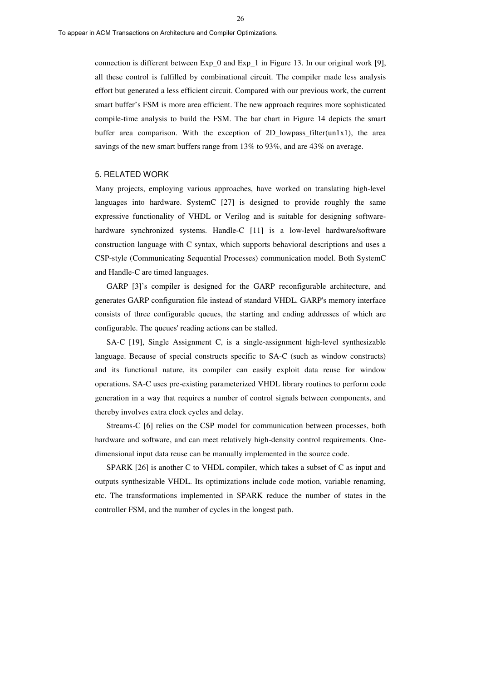connection is different between Exp\_0 and Exp\_1 in Figure 13. In our original work [9], all these control is fulfilled by combinational circuit. The compiler made less analysis effort but generated a less efficient circuit. Compared with our previous work, the current smart buffer's FSM is more area efficient. The new approach requires more sophisticated compile-time analysis to build the FSM. The bar chart in Figure 14 depicts the smart buffer area comparison. With the exception of  $2D_lowpass_f [lter(un1x1)]$ , the area savings of the new smart buffers range from 13% to 93%, and are 43% on average.

## 5. RELATED WORK

Many projects, employing various approaches, have worked on translating high-level languages into hardware. SystemC [27] is designed to provide roughly the same expressive functionality of VHDL or Verilog and is suitable for designing softwarehardware synchronized systems. Handle-C [11] is a low-level hardware/software construction language with C syntax, which supports behavioral descriptions and uses a CSP-style (Communicating Sequential Processes) communication model. Both SystemC and Handle-C are timed languages.

GARP [3]'s compiler is designed for the GARP reconfigurable architecture, and generates GARP configuration file instead of standard VHDL. GARP's memory interface consists of three configurable queues, the starting and ending addresses of which are configurable. The queues' reading actions can be stalled.

SA-C [19], Single Assignment C, is a single-assignment high-level synthesizable language. Because of special constructs specific to SA-C (such as window constructs) and its functional nature, its compiler can easily exploit data reuse for window operations. SA-C uses pre-existing parameterized VHDL library routines to perform code generation in a way that requires a number of control signals between components, and thereby involves extra clock cycles and delay.

Streams-C [6] relies on the CSP model for communication between processes, both hardware and software, and can meet relatively high-density control requirements. Onedimensional input data reuse can be manually implemented in the source code.

SPARK [26] is another C to VHDL compiler, which takes a subset of C as input and outputs synthesizable VHDL. Its optimizations include code motion, variable renaming, etc. The transformations implemented in SPARK reduce the number of states in the controller FSM, and the number of cycles in the longest path.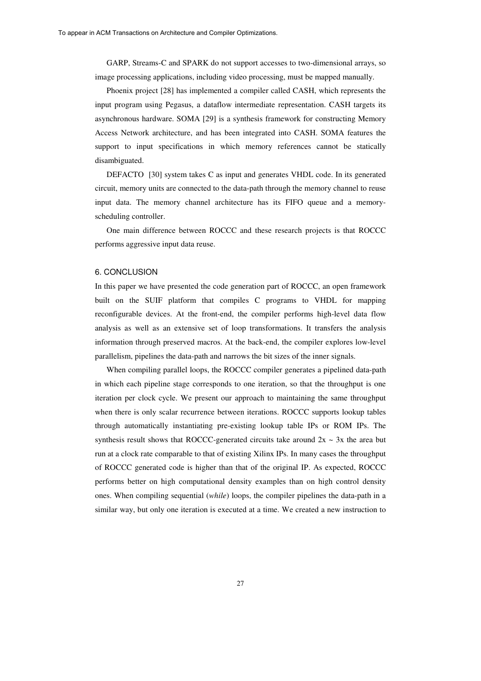GARP, Streams-C and SPARK do not support accesses to two-dimensional arrays, so image processing applications, including video processing, must be mapped manually.

Phoenix project [28] has implemented a compiler called CASH, which represents the input program using Pegasus, a dataflow intermediate representation. CASH targets its asynchronous hardware. SOMA [29] is a synthesis framework for constructing Memory Access Network architecture, and has been integrated into CASH. SOMA features the support to input specifications in which memory references cannot be statically disambiguated.

DEFACTO [30] system takes C as input and generates VHDL code. In its generated circuit, memory units are connected to the data-path through the memory channel to reuse input data. The memory channel architecture has its FIFO queue and a memoryscheduling controller.

One main difference between ROCCC and these research projects is that ROCCC performs aggressive input data reuse.

## 6. CONCLUSION

In this paper we have presented the code generation part of ROCCC, an open framework built on the SUIF platform that compiles C programs to VHDL for mapping reconfigurable devices. At the front-end, the compiler performs high-level data flow analysis as well as an extensive set of loop transformations. It transfers the analysis information through preserved macros. At the back-end, the compiler explores low-level parallelism, pipelines the data-path and narrows the bit sizes of the inner signals.

When compiling parallel loops, the ROCCC compiler generates a pipelined data-path in which each pipeline stage corresponds to one iteration, so that the throughput is one iteration per clock cycle. We present our approach to maintaining the same throughput when there is only scalar recurrence between iterations. ROCCC supports lookup tables through automatically instantiating pre-existing lookup table IPs or ROM IPs. The synthesis result shows that ROCCC-generated circuits take around  $2x \sim 3x$  the area but run at a clock rate comparable to that of existing Xilinx IPs. In many cases the throughput of ROCCC generated code is higher than that of the original IP. As expected, ROCCC performs better on high computational density examples than on high control density ones. When compiling sequential (*while*) loops, the compiler pipelines the data-path in a similar way, but only one iteration is executed at a time. We created a new instruction to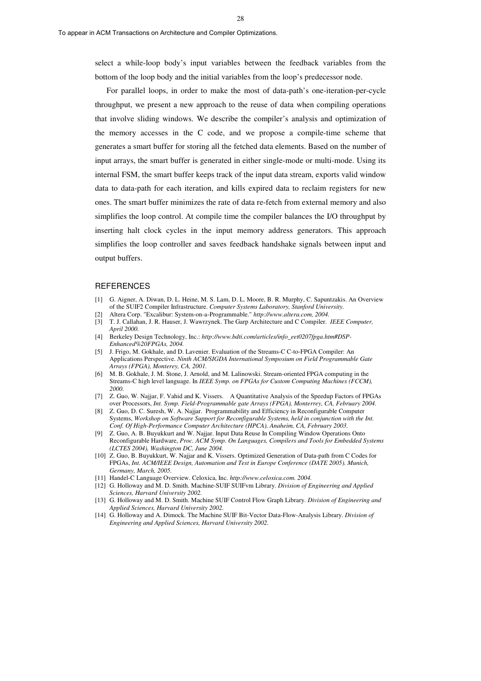select a while-loop body's input variables between the feedback variables from the bottom of the loop body and the initial variables from the loop's predecessor node.

For parallel loops, in order to make the most of data-path's one-iteration-per-cycle throughput, we present a new approach to the reuse of data when compiling operations that involve sliding windows. We describe the compiler's analysis and optimization of the memory accesses in the C code, and we propose a compile-time scheme that generates a smart buffer for storing all the fetched data elements. Based on the number of input arrays, the smart buffer is generated in either single-mode or multi-mode. Using its internal FSM, the smart buffer keeps track of the input data stream, exports valid window data to data-path for each iteration, and kills expired data to reclaim registers for new ones. The smart buffer minimizes the rate of data re-fetch from external memory and also simplifies the loop control. At compile time the compiler balances the I/O throughput by inserting halt clock cycles in the input memory address generators. This approach simplifies the loop controller and saves feedback handshake signals between input and output buffers.

## **REFERENCES**

- [1] G. Aigner, A. Diwan, D. L. Heine, M. S. Lam, D. L. Moore, B. R. Murphy, C. Sapuntzakis. An Overview of the SUIF2 Compiler Infrastructure. *Computer Systems Laboratory, Stanford University.*
- [2] Altera Corp. "Excalibur: System-on-a-Programmable." *http://www.altera.com, 2004.*
- [3] T. J. Callahan, J. R. Hauser, J. Wawrzynek. The Garp Architecture and C Compiler. *IEEE Computer, April 2000.*
- [4] Berkeley Design Technology, Inc.: *http://www.bdti.com/articles/info\_eet0207fpga.htm#DSP-Enhanced%20FPGAs, 2004.*
- [5] J. Frigo, M. Gokhale, and D. Lavenier. Evaluation of the Streams-C C-to-FPGA Compiler: An Applications Perspective. *Ninth ACM/SIGDA International Symposium on Field Programmable Gate Arrays (FPGA), Monterey, CA, 2001.*
- [6] M. B. Gokhale, J. M. Stone, J. Arnold, and M. Lalinowski. Stream-oriented FPGA computing in the Streams-C high level language. In *IEEE Symp. on FPGAs for Custom Computing Machines (FCCM), 2000.*
- [7] Z. Guo, W. Najjar, F. Vahid and K. Vissers. A Quantitative Analysis of the Speedup Factors of FPGAs over Processors, *Int. Symp. Field-Programmable gate Arrays (FPGA), Monterrey, CA, February 2004.*
- [8] Z. Guo, D. C. Suresh, W. A. Najjar. Programmability and Efficiency in Reconfigurable Computer Systems, *Workshop on Software Support for Reconfigurable Systems, held in conjunction with the Int. Conf. Of High-Performance Computer Architecture (HPCA), Anaheim, CA, February 2003.*
- [9] Z. Guo, A. B. Buyukkurt and W. Najjar. Input Data Reuse In Compiling Window Operations Onto Reconfigurable Hardware, *Proc. ACM Symp. On Languages, Compilers and Tools for Embedded Systems (LCTES 2004), Washington DC, June 2004.*
- [10] Z. Guo, B. Buyukkurt, W. Najjar and K. Vissers. Optimized Generation of Data-path from C Codes for FPGAs, *Int. ACM/IEEE Design, Automation and Test in Europe Conference (DATE 2005). Munich, Germany, March, 2005.*
- [11] Handel-C Language Overview. Celoxica, Inc. *http://www.celoxica.com. 2004.*
- [12] G. Holloway and M. D. Smith. Machine-SUIF SUIFvm Library. *Division of Engineering and Applied Sciences, Harvard University 2002.*
- [13] G. Holloway and M. D. Smith. Machine SUIF Control Flow Graph Library. *Division of Engineering and Applied Sciences, Harvard University 2002.*
- [14] G. Holloway and A. Dimock. The Machine SUIF Bit-Vector Data-Flow-Analysis Library. *Division of Engineering and Applied Sciences, Harvard University 2002.*